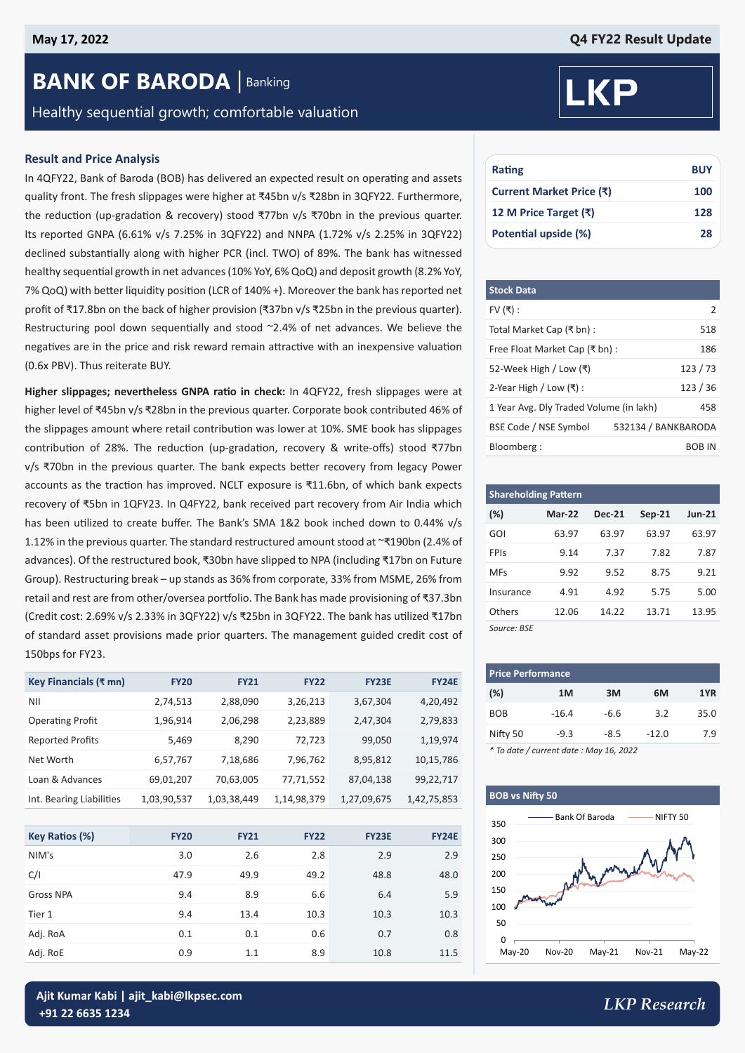## **BANK OF BARODA** | Banking

Healthy sequential growth; comfortable valuation

#### **Result and Price Analysis**

In 4QFY22, Bank of Baroda (BOB) has delivered an expected result on operating and assets quality front. The fresh slippages were higher at ₹45bn v/s ₹28bn in 3QFY22. Furthermore, the reduction (up-gradation & recovery) stood ₹77bn v/s ₹70bn in the previous quarter. Its reported GNPA (6.61% v/s 7.25% in 3QFY22) and NNPA (1.72% v/s 2.25% in 3QFY22) declined substantially along with higher PCR (incl. TWO) of 89%. The bank has witnessed healthy sequential growth in net advances (10% YoY, 6% QoQ) and deposit growth (8.2% YoY, 7% QoQ) with better liquidity position (LCR of 140% +). Moreover the bank has reported net profit of ₹17.8bn on the back of higher provision (₹37bn v/s ₹25bn in the previous quarter). Restructuring pool down sequentially and stood ~2.4% of net advances. We believe the negatives are in the price and risk reward remain attractive with an inexpensive valuation (0.6x PBV). Thus reiterate BUY.

**Higher slippages; nevertheless GNPA ratio in check:** In 4QFY22, fresh slippages were at higher level of ₹45bn v/s ₹28bn in the previous quarter. Corporate book contributed 46% of the slippages amount where retail contribution was lower at 10%. SME book has slippages contribution of 28%. The reduction (up-gradation, recovery & write-offs) stood ₹77bn v/s ₹70bn in the previous quarter. The bank expects better recovery from legacy Power accounts as the traction has improved. NCLT exposure is ₹11.6bn, of which bank expects recovery of ₹5bn in 1QFY23. In Q4FY22, bank received part recovery from Air India which has been utilized to create buffer. The Bank's SMA 1&2 book inched down to 0.44% v/s 1.12% in the previous quarter. The standard restructured amount stood at ~₹190bn (2.4% of advances). Of the restructured book, ₹30bn have slipped to NPA (including ₹17bn on Future Group). Restructuring break – up stands as 36% from corporate, 33% from MSME, 26% from retail and rest are from other/oversea portfolio. The Bank has made provisioning of ₹37.3bn (Credit cost: 2.69% v/s 2.33% in 3QFY22) v/s ₹25bn in 3QFY22. The bank has utilized ₹17bn of standard asset provisions made prior quarters. The management guided credit cost of 150bps for FY23.

| Key Financials (₹ mn)    | <b>FY20</b> | <b>FY21</b> | <b>FY22</b> | <b>FY23E</b> | <b>FY24E</b> |
|--------------------------|-------------|-------------|-------------|--------------|--------------|
| ΝIΙ                      | 2,74,513    | 2,88,090    | 3,26,213    | 3,67,304     | 4,20,492     |
| <b>Operating Profit</b>  | 1,96,914    | 2,06,298    | 2,23,889    | 2,47,304     | 2,79,833     |
| <b>Reported Profits</b>  | 5,469       | 8,290       | 72,723      | 99,050       | 1,19,974     |
| Net Worth                | 6,57,767    | 7,18,686    | 7,96,762    | 8,95,812     | 10,15,786    |
| Loan & Advances          | 69,01,207   | 70,63,005   | 77,71,552   | 87,04,138    | 99,22,717    |
| Int. Bearing Liabilities | 1,03,90,537 | 1,03,38,449 | 1,14,98,379 | 1,27,09,675  | 1,42,75,853  |

| Key Ratios (%)   | <b>FY20</b> | <b>FY21</b> | <b>FY22</b> | <b>FY23E</b> | <b>FY24E</b> |
|------------------|-------------|-------------|-------------|--------------|--------------|
| NIM's            | 3.0         | 2.6         | 2.8         | 2.9          | 2.9          |
| C/I              | 47.9        | 49.9        | 49.2        | 48.8         | 48.0         |
| <b>Gross NPA</b> | 9.4         | 8.9         | 6.6         | 6.4          | 5.9          |
| Tier 1           | 9.4         | 13.4        | 10.3        | 10.3         | 10.3         |
| Adj. RoA         | 0.1         | 0.1         | 0.6         | 0.7          | 0.8          |
| Adj. RoE         | 0.9         | 1.1         | 8.9         | 10.8         | 11.5         |



| Rating                   | <b>BUY</b> |
|--------------------------|------------|
| Current Market Price (₹) | 100        |
| 12 M Price Target (₹)    | 128        |
| Potential upside (%)     | 28         |

| <b>Stock Data</b>                       |                     |
|-----------------------------------------|---------------------|
| FV $($ ₹):                              | $\mathcal{P}$       |
| Total Market Cap (₹ bn) :               | 518                 |
| Free Float Market Cap (₹ bn) :          | 186                 |
| 52-Week High / Low (₹)                  | 123/73              |
| 2-Year High / Low $($ ₹ $)$ :           | 123/36              |
| 1 Year Avg. Dly Traded Volume (in lakh) | 458                 |
| BSE Code / NSE Symbol                   | 532134 / BANKBARODA |
| Bloomberg:                              | BOB IN              |

| <b>Shareholding Pattern</b> |          |               |          |               |  |  |  |  |  |  |
|-----------------------------|----------|---------------|----------|---------------|--|--|--|--|--|--|
| $(\%)$                      | $Mar-22$ | <b>Dec-21</b> | $Sep-21$ | <b>Jun-21</b> |  |  |  |  |  |  |
| GOI                         | 63.97    | 63.97         | 63.97    | 63.97         |  |  |  |  |  |  |
| <b>FPIS</b>                 | 9.14     | 7.37          | 7.82     | 7.87          |  |  |  |  |  |  |
| <b>MFs</b>                  | 9.92     | 9.52          | 8.75     | 9.21          |  |  |  |  |  |  |
| Insurance                   | 4.91     | 4.92          | 5.75     | 5.00          |  |  |  |  |  |  |
| Others                      | 12.06    | 14.22         | 13.71    | 13.95         |  |  |  |  |  |  |
| Source: BSE                 |          |               |          |               |  |  |  |  |  |  |

| <b>Price Performance</b> |         |        |         |      |  |  |  |  |  |
|--------------------------|---------|--------|---------|------|--|--|--|--|--|
| (%)                      | 1M      | 3M     | 6M      | 1YR  |  |  |  |  |  |
| <b>BOB</b>               | $-16.4$ | $-6.6$ | 3.2     | 35.0 |  |  |  |  |  |
| Nifty 50                 | $-9.3$  | $-8.5$ | $-12.0$ | 7.9  |  |  |  |  |  |

*\* To date / current date : May 16, 2022*

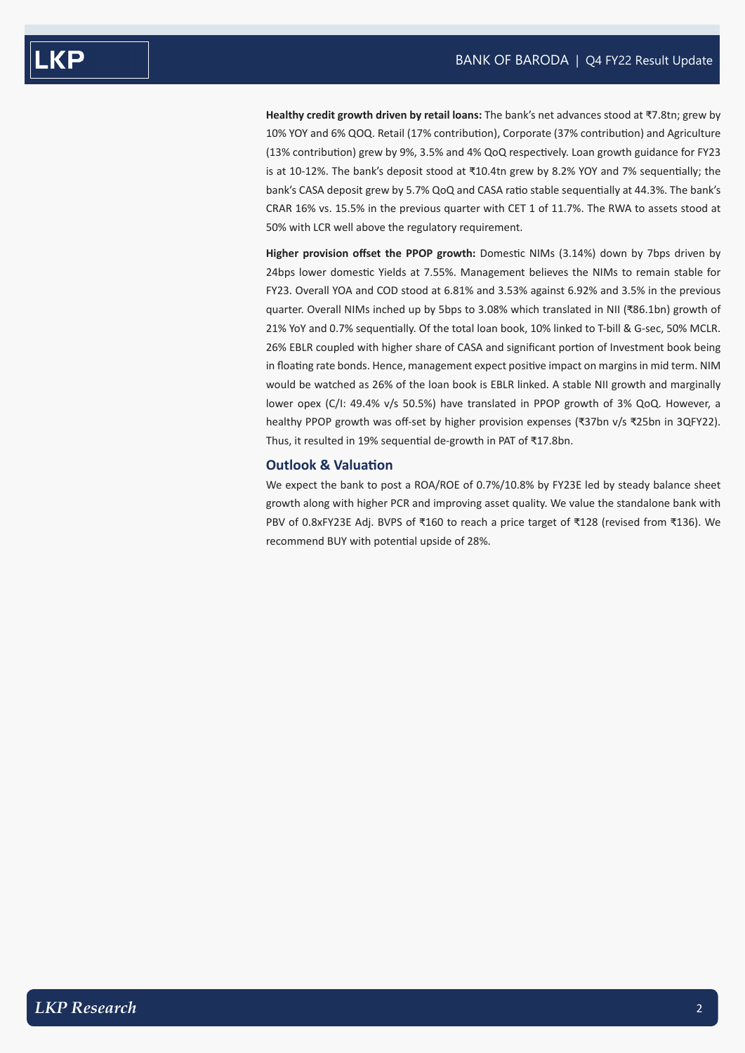**Healthy credit growth driven by retail loans:** The bank's net advances stood at ₹7.8tn; grew by 10% YOY and 6% QOQ. Retail (17% contribution), Corporate (37% contribution) and Agriculture (13% contribution) grew by 9%, 3.5% and 4% QoQ respectively. Loan growth guidance for FY23 is at 10-12%. The bank's deposit stood at ₹10.4tn grew by 8.2% YOY and 7% sequentially; the bank's CASA deposit grew by 5.7% QoQ and CASA ratio stable sequentially at 44.3%. The bank's CRAR 16% vs. 15.5% in the previous quarter with CET 1 of 11.7%. The RWA to assets stood at 50% with LCR well above the regulatory requirement.

**Higher provision offset the PPOP growth:** Domestic NIMs (3.14%) down by 7bps driven by 24bps lower domestic Yields at 7.55%. Management believes the NIMs to remain stable for FY23. Overall YOA and COD stood at 6.81% and 3.53% against 6.92% and 3.5% in the previous quarter. Overall NIMs inched up by 5bps to 3.08% which translated in NII (₹86.1bn) growth of 21% YoY and 0.7% sequentially. Of the total loan book, 10% linked to T-bill & G-sec, 50% MCLR. 26% EBLR coupled with higher share of CASA and significant portion of Investment book being in floating rate bonds. Hence, management expect positive impact on margins in mid term. NIM would be watched as 26% of the loan book is EBLR linked. A stable NII growth and marginally lower opex (C/I: 49.4% v/s 50.5%) have translated in PPOP growth of 3% QoQ. However, a healthy PPOP growth was off-set by higher provision expenses (₹37bn v/s ₹25bn in 3QFY22). Thus, it resulted in 19% sequential de-growth in PAT of ₹17.8bn.

#### **Outlook & Valuation**

We expect the bank to post a ROA/ROE of 0.7%/10.8% by FY23E led by steady balance sheet growth along with higher PCR and improving asset quality. We value the standalone bank with PBV of 0.8xFY23E Adj. BVPS of ₹160 to reach a price target of ₹128 (revised from ₹136). We recommend BUY with potential upside of 28%.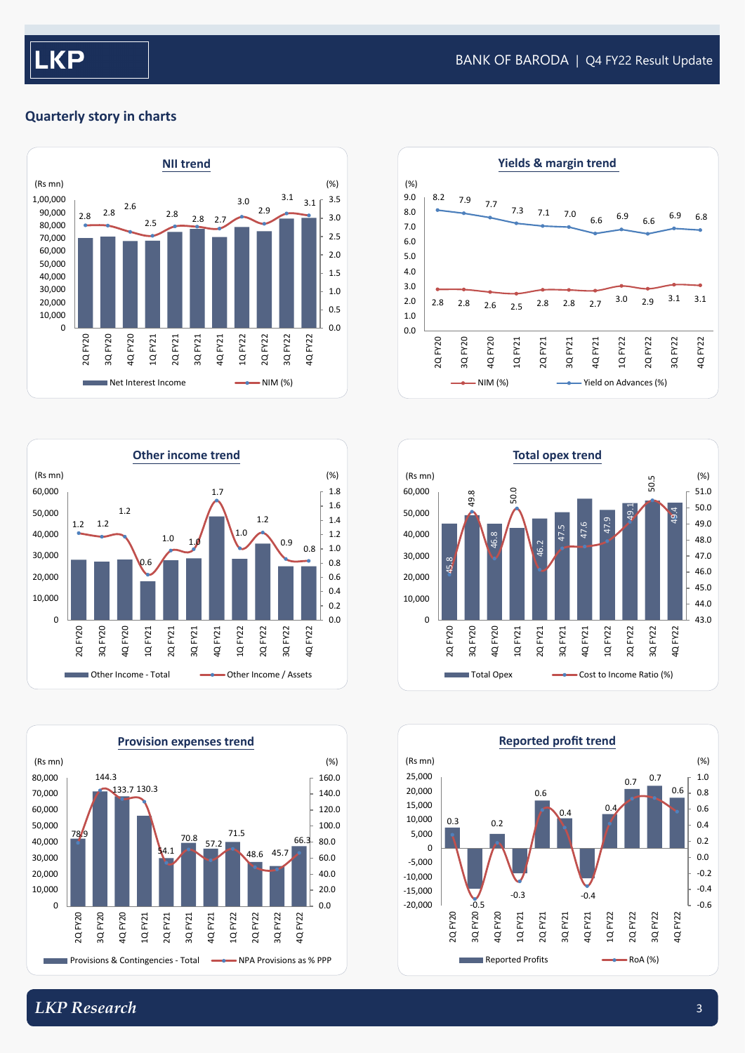### **Quarterly story in charts**













## *LKP Research* 3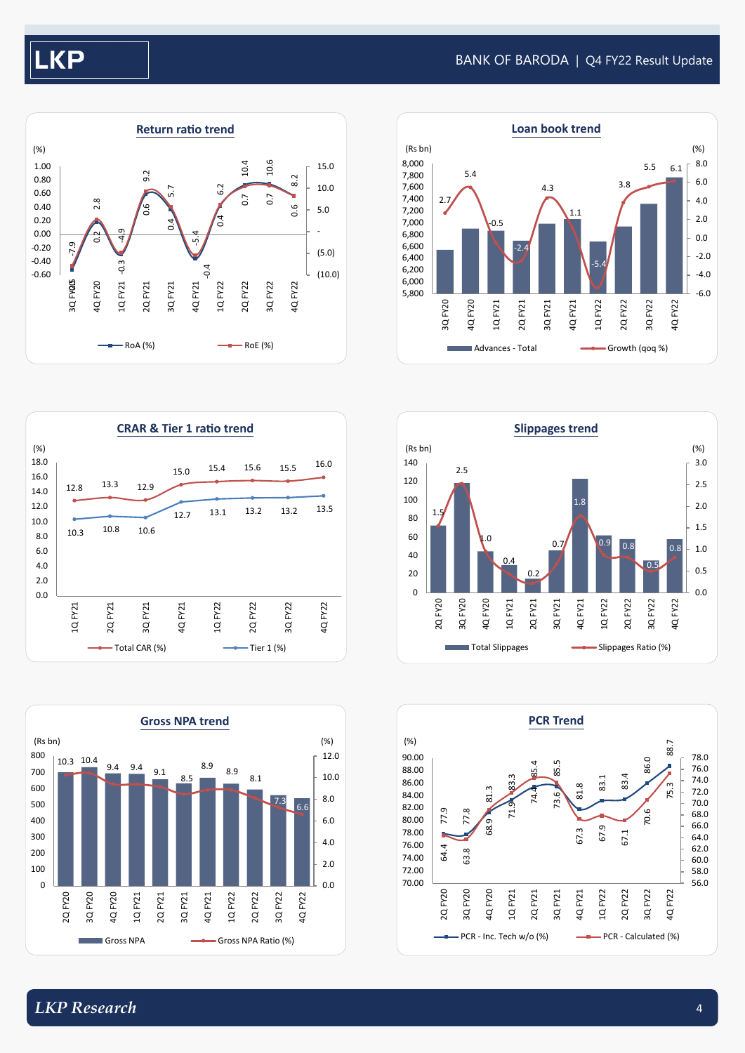# **KP**

#### BANK OF BARODA | Q4 FY22 Result Update











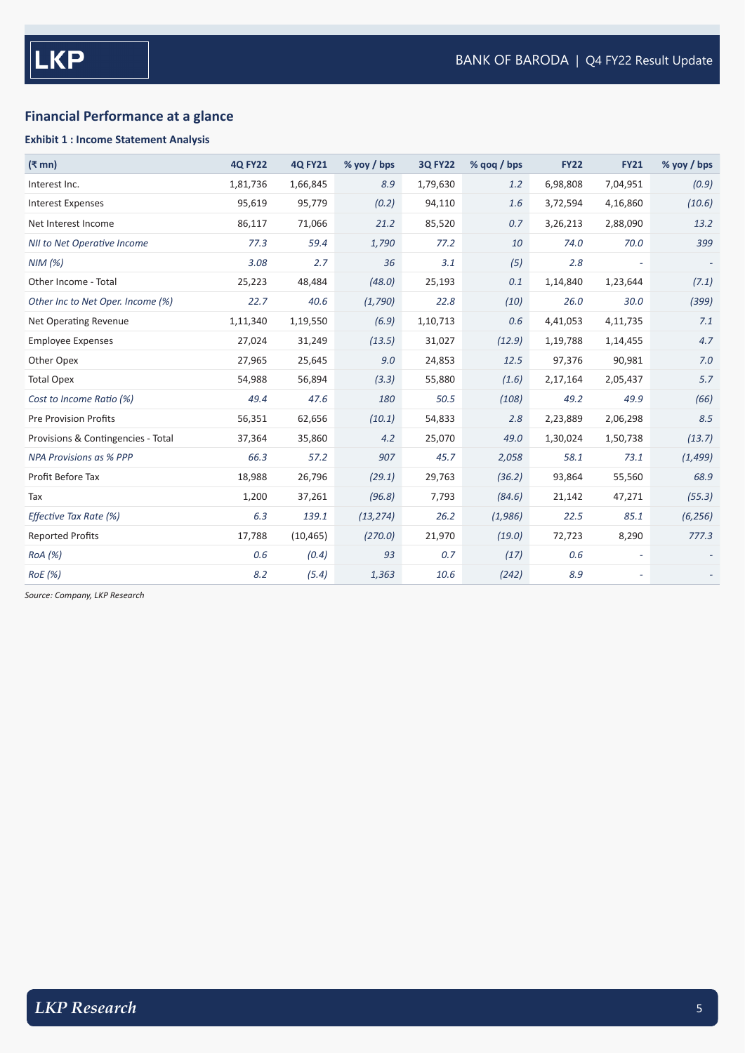## **Financial Performance at a glance**

#### **Exhibit 1 : Income Statement Analysis**

| $(3 \text{ mm})$                   | <b>4Q FY22</b> | <b>4Q FY21</b> | $%$ yoy / bps | <b>3Q FY22</b> | % gog / bps | <b>FY22</b> | <b>FY21</b> | % yoy / bps |
|------------------------------------|----------------|----------------|---------------|----------------|-------------|-------------|-------------|-------------|
| Interest Inc.                      | 1,81,736       | 1,66,845       | 8.9           | 1,79,630       | 1.2         | 6,98,808    | 7,04,951    | (0.9)       |
| <b>Interest Expenses</b>           | 95,619         | 95,779         | (0.2)         | 94,110         | 1.6         | 3,72,594    | 4,16,860    | (10.6)      |
| Net Interest Income                | 86,117         | 71,066         | 21.2          | 85,520         | 0.7         | 3,26,213    | 2,88,090    | 13.2        |
| NII to Net Operative Income        | 77.3           | 59.4           | 1,790         | 77.2           | 10          | 74.0        | 70.0        | 399         |
| NIM(%)                             | 3.08           | 2.7            | 36            | 3.1            | (5)         | 2.8         |             |             |
| Other Income - Total               | 25,223         | 48,484         | (48.0)        | 25,193         | 0.1         | 1,14,840    | 1,23,644    | (7.1)       |
| Other Inc to Net Oper. Income (%)  | 22.7           | 40.6           | (1,790)       | 22.8           | (10)        | 26.0        | 30.0        | (399)       |
| <b>Net Operating Revenue</b>       | 1,11,340       | 1,19,550       | (6.9)         | 1,10,713       | 0.6         | 4,41,053    | 4,11,735    | 7.1         |
| <b>Employee Expenses</b>           | 27,024         | 31,249         | (13.5)        | 31,027         | (12.9)      | 1,19,788    | 1,14,455    | 4.7         |
| Other Opex                         | 27,965         | 25,645         | 9.0           | 24,853         | 12.5        | 97,376      | 90,981      | $7.0$       |
| <b>Total Opex</b>                  | 54,988         | 56,894         | (3.3)         | 55,880         | (1.6)       | 2,17,164    | 2,05,437    | 5.7         |
| Cost to Income Ratio (%)           | 49.4           | 47.6           | 180           | 50.5           | (108)       | 49.2        | 49.9        | (66)        |
| <b>Pre Provision Profits</b>       | 56,351         | 62,656         | (10.1)        | 54,833         | 2.8         | 2,23,889    | 2,06,298    | 8.5         |
| Provisions & Contingencies - Total | 37,364         | 35,860         | 4.2           | 25,070         | 49.0        | 1,30,024    | 1,50,738    | (13.7)      |
| <b>NPA Provisions as % PPP</b>     | 66.3           | 57.2           | 907           | 45.7           | 2,058       | 58.1        | 73.1        | (1, 499)    |
| Profit Before Tax                  | 18,988         | 26,796         | (29.1)        | 29,763         | (36.2)      | 93,864      | 55,560      | 68.9        |
| Tax                                | 1,200          | 37,261         | (96.8)        | 7,793          | (84.6)      | 21,142      | 47,271      | (55.3)      |
| Effective Tax Rate (%)             | 6.3            | 139.1          | (13, 274)     | 26.2           | (1,986)     | 22.5        | 85.1        | (6, 256)    |
| <b>Reported Profits</b>            | 17,788         | (10, 465)      | (270.0)       | 21,970         | (19.0)      | 72,723      | 8,290       | 777.3       |
| ROA (%)                            | 0.6            | (0.4)          | 93            | 0.7            | (17)        | 0.6         |             |             |
| <b>RoE</b> (%)                     | 8.2            | (5.4)          | 1,363         | 10.6           | (242)       | 8.9         |             |             |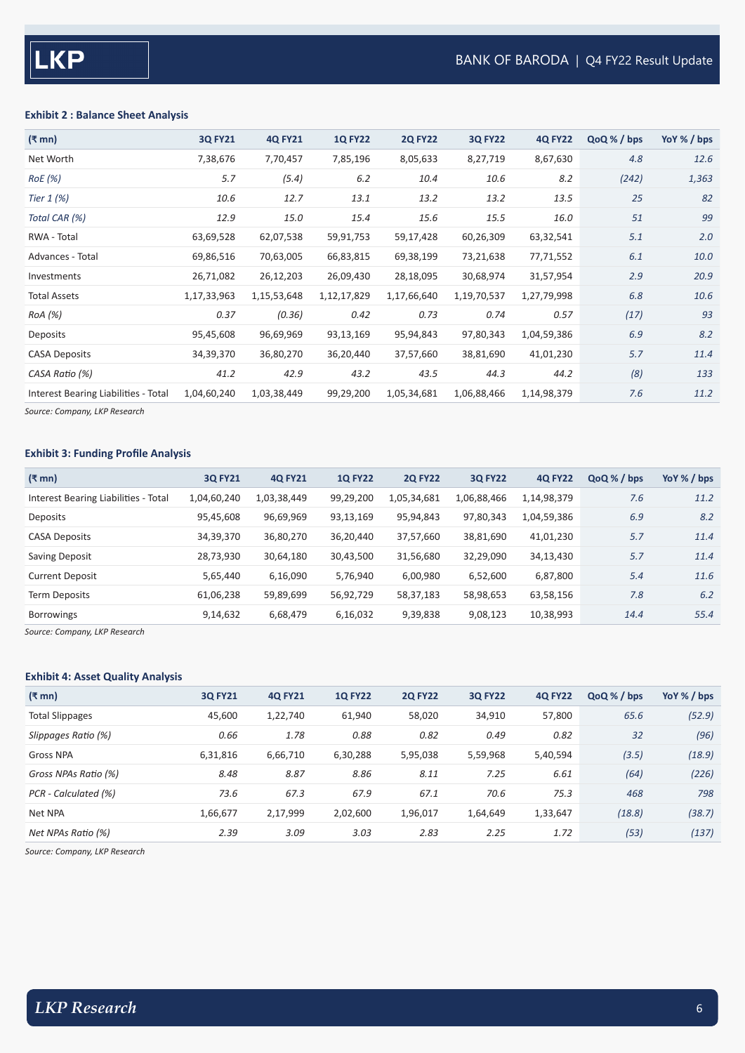#### **Exhibit 2 : Balance Sheet Analysis**

| $(\bar{\bar{\mathbf{x}}}$ mn)        | <b>3Q FY21</b> | <b>4Q FY21</b> | <b>1Q FY22</b> | <b>2Q FY22</b> | <b>3Q FY22</b> | <b>4Q FY22</b> | QoQ % / bps | YoY % / bps |
|--------------------------------------|----------------|----------------|----------------|----------------|----------------|----------------|-------------|-------------|
| Net Worth                            | 7,38,676       | 7,70,457       | 7,85,196       | 8,05,633       | 8,27,719       | 8,67,630       | 4.8         | 12.6        |
| RoE(%)                               | 5.7            | (5.4)          | 6.2            | 10.4           | 10.6           | 8.2            | (242)       | 1,363       |
| Tier 1 (%)                           | 10.6           | 12.7           | 13.1           | 13.2           | 13.2           | 13.5           | 25          | 82          |
| Total CAR (%)                        | 12.9           | 15.0           | 15.4           | 15.6           | 15.5           | 16.0           | 51          | 99          |
| RWA - Total                          | 63,69,528      | 62,07,538      | 59,91,753      | 59,17,428      | 60,26,309      | 63,32,541      | 5.1         | 2.0         |
| Advances - Total                     | 69,86,516      | 70,63,005      | 66,83,815      | 69,38,199      | 73,21,638      | 77,71,552      | 6.1         | 10.0        |
| Investments                          | 26,71,082      | 26,12,203      | 26,09,430      | 28,18,095      | 30,68,974      | 31,57,954      | 2.9         | 20.9        |
| <b>Total Assets</b>                  | 1,17,33,963    | 1,15,53,648    | 1,12,17,829    | 1,17,66,640    | 1,19,70,537    | 1,27,79,998    | 6.8         | 10.6        |
| RoA (%)                              | 0.37           | (0.36)         | 0.42           | 0.73           | 0.74           | 0.57           | (17)        | 93          |
| Deposits                             | 95,45,608      | 96,69,969      | 93,13,169      | 95,94,843      | 97,80,343      | 1,04,59,386    | 6.9         | 8.2         |
| <b>CASA Deposits</b>                 | 34,39,370      | 36,80,270      | 36,20,440      | 37,57,660      | 38,81,690      | 41,01,230      | 5.7         | 11.4        |
| CASA Ratio (%)                       | 41.2           | 42.9           | 43.2           | 43.5           | 44.3           | 44.2           | (8)         | 133         |
| Interest Bearing Liabilities - Total | 1,04,60,240    | 1,03,38,449    | 99,29,200      | 1,05,34,681    | 1,06,88,466    | 1,14,98,379    | 7.6         | 11.2        |
|                                      |                |                |                |                |                |                |             |             |

*Source: Company, LKP Research*

#### **Exhibit 3: Funding Profile Analysis**

| $(\bar{\bar{\mathbf{x}}}$ mn)        | <b>30 FY21</b> | <b>4Q FY21</b> | <b>1Q FY22</b> | <b>2Q FY22</b> | <b>3Q FY22</b> | <b>4Q FY22</b> | QoQ % / bps | YoY $%$ / bps |
|--------------------------------------|----------------|----------------|----------------|----------------|----------------|----------------|-------------|---------------|
| Interest Bearing Liabilities - Total | 1,04,60,240    | 1,03,38,449    | 99,29,200      | 1,05,34,681    | 1,06,88,466    | 1,14,98,379    | 7.6         | 11.2          |
| Deposits                             | 95,45,608      | 96,69,969      | 93,13,169      | 95,94,843      | 97,80,343      | 1,04,59,386    | 6.9         | 8.2           |
| <b>CASA Deposits</b>                 | 34,39,370      | 36,80,270      | 36,20,440      | 37,57,660      | 38,81,690      | 41,01,230      | 5.7         | 11.4          |
| Saving Deposit                       | 28,73,930      | 30,64,180      | 30,43,500      | 31,56,680      | 32,29,090      | 34,13,430      | 5.7         | 11.4          |
| <b>Current Deposit</b>               | 5,65,440       | 6,16,090       | 5,76,940       | 6,00,980       | 6,52,600       | 6,87,800       | 5.4         | 11.6          |
| <b>Term Deposits</b>                 | 61,06,238      | 59,89,699      | 56,92,729      | 58,37,183      | 58,98,653      | 63,58,156      | 7.8         | 6.2           |
| <b>Borrowings</b>                    | 9,14,632       | 6,68,479       | 6,16,032       | 9,39,838       | 9,08,123       | 10,38,993      | 14.4        | 55.4          |

*Source: Company, LKP Research*

#### **Exhibit 4: Asset Quality Analysis**

| $(3 \text{ mm})$       | <b>30 FY21</b> | <b>4Q FY21</b> | <b>1Q FY22</b> | <b>2Q FY22</b> | <b>3Q FY22</b> | <b>4Q FY22</b> | QoQ % / bps | YoY % / bps |
|------------------------|----------------|----------------|----------------|----------------|----------------|----------------|-------------|-------------|
| <b>Total Slippages</b> | 45,600         | 1,22,740       | 61,940         | 58,020         | 34,910         | 57,800         | 65.6        | (52.9)      |
| Slippages Ratio (%)    | 0.66           | 1.78           | 0.88           | 0.82           | 0.49           | 0.82           | 32          | (96)        |
| <b>Gross NPA</b>       | 6,31,816       | 6,66,710       | 6,30,288       | 5,95,038       | 5,59,968       | 5,40,594       | (3.5)       | (18.9)      |
| Gross NPAs Ratio (%)   | 8.48           | 8.87           | 8.86           | 8.11           | 7.25           | 6.61           | (64)        | (226)       |
| PCR - Calculated (%)   | 73.6           | 67.3           | 67.9           | 67.1           | 70.6           | 75.3           | 468         | 798         |
| Net NPA                | 1,66,677       | 2,17,999       | 2,02,600       | 1,96,017       | 1,64,649       | 1,33,647       | (18.8)      | (38.7)      |
| Net NPAs Ratio (%)     | 2.39           | 3.09           | 3.03           | 2.83           | 2.25           | 1.72           | (53)        | (137)       |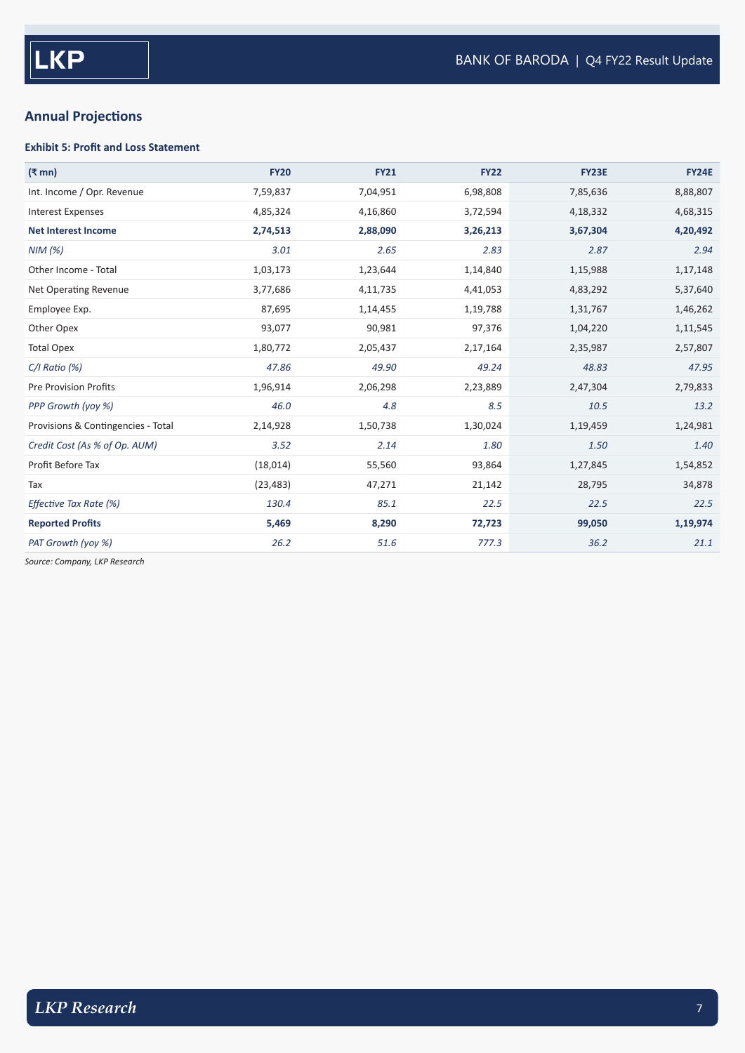## **Annual Projections**

#### **Exhibit 5: Profit and Loss Statement**

| $(\bar{\mathbf{z}}$ mn)            | <b>FY20</b> | <b>FY21</b> | <b>FY22</b> | <b>FY23E</b> | <b>FY24E</b> |
|------------------------------------|-------------|-------------|-------------|--------------|--------------|
| Int. Income / Opr. Revenue         | 7,59,837    | 7,04,951    | 6,98,808    | 7,85,636     | 8,88,807     |
| <b>Interest Expenses</b>           | 4,85,324    | 4,16,860    | 3,72,594    | 4,18,332     | 4,68,315     |
| <b>Net Interest Income</b>         | 2,74,513    | 2,88,090    | 3,26,213    | 3,67,304     | 4,20,492     |
| NIM(%)                             | 3.01        | 2.65        | 2.83        | 2.87         | 2.94         |
| Other Income - Total               | 1,03,173    | 1,23,644    | 1,14,840    | 1,15,988     | 1,17,148     |
| Net Operating Revenue              | 3,77,686    | 4,11,735    | 4,41,053    | 4,83,292     | 5,37,640     |
| Employee Exp.                      | 87,695      | 1,14,455    | 1,19,788    | 1,31,767     | 1,46,262     |
| Other Opex                         | 93,077      | 90,981      | 97,376      | 1,04,220     | 1,11,545     |
| <b>Total Opex</b>                  | 1,80,772    | 2,05,437    | 2,17,164    | 2,35,987     | 2,57,807     |
| $C/I$ Ratio $(%)$                  | 47.86       | 49.90       | 49.24       | 48.83        | 47.95        |
| <b>Pre Provision Profits</b>       | 1,96,914    | 2,06,298    | 2,23,889    | 2,47,304     | 2,79,833     |
| PPP Growth (yoy %)                 | 46.0        | 4.8         | 8.5         | 10.5         | 13.2         |
| Provisions & Contingencies - Total | 2,14,928    | 1,50,738    | 1,30,024    | 1,19,459     | 1,24,981     |
| Credit Cost (As % of Op. AUM)      | 3.52        | 2.14        | 1.80        | 1.50         | 1.40         |
| Profit Before Tax                  | (18,014)    | 55,560      | 93,864      | 1,27,845     | 1,54,852     |
| Tax                                | (23, 483)   | 47,271      | 21,142      | 28,795       | 34,878       |
| Effective Tax Rate (%)             | 130.4       | 85.1        | 22.5        | 22.5         | 22.5         |
| <b>Reported Profits</b>            | 5,469       | 8,290       | 72,723      | 99,050       | 1,19,974     |
| PAT Growth (yoy %)                 | 26.2        | 51.6        | 777.3       | 36.2         | 21.1         |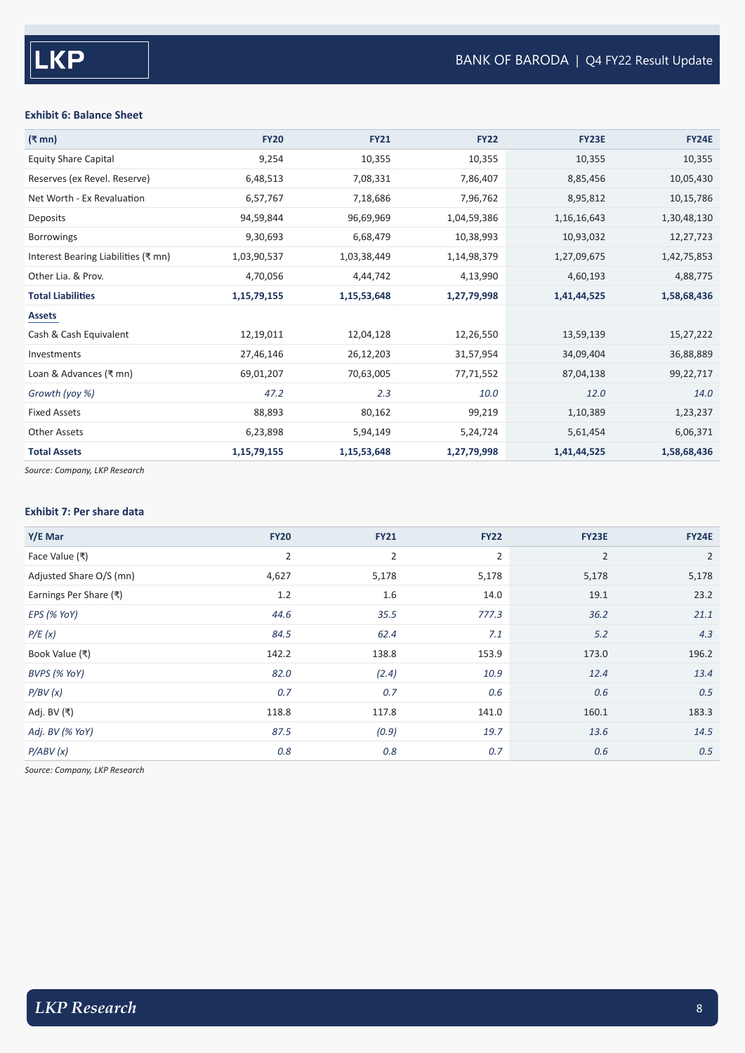#### **Exhibit 6: Balance Sheet**

| (₹ mn)                              | <b>FY20</b> | <b>FY21</b> | <b>FY22</b> | <b>FY23E</b>   | <b>FY24E</b> |
|-------------------------------------|-------------|-------------|-------------|----------------|--------------|
| <b>Equity Share Capital</b>         | 9,254       | 10,355      | 10,355      | 10,355         | 10,355       |
| Reserves (ex Revel. Reserve)        | 6,48,513    | 7,08,331    | 7,86,407    | 8,85,456       | 10,05,430    |
| Net Worth - Ex Revaluation          | 6,57,767    | 7,18,686    | 7,96,762    | 8,95,812       | 10,15,786    |
| Deposits                            | 94,59,844   | 96,69,969   | 1,04,59,386 | 1, 16, 16, 643 | 1,30,48,130  |
| <b>Borrowings</b>                   | 9,30,693    | 6,68,479    | 10,38,993   | 10,93,032      | 12,27,723    |
| Interest Bearing Liabilities (₹ mn) | 1,03,90,537 | 1,03,38,449 | 1,14,98,379 | 1,27,09,675    | 1,42,75,853  |
| Other Lia. & Prov.                  | 4,70,056    | 4,44,742    | 4,13,990    | 4,60,193       | 4,88,775     |
| <b>Total Liabilities</b>            | 1,15,79,155 | 1,15,53,648 | 1,27,79,998 | 1,41,44,525    | 1,58,68,436  |
| <b>Assets</b>                       |             |             |             |                |              |
| Cash & Cash Equivalent              | 12,19,011   | 12,04,128   | 12,26,550   | 13,59,139      | 15,27,222    |
| Investments                         | 27,46,146   | 26,12,203   | 31,57,954   | 34,09,404      | 36,88,889    |
| Loan & Advances (₹ mn)              | 69,01,207   | 70,63,005   | 77,71,552   | 87,04,138      | 99,22,717    |
| Growth (yoy %)                      | 47.2        | 2.3         | 10.0        | 12.0           | 14.0         |
| <b>Fixed Assets</b>                 | 88,893      | 80,162      | 99,219      | 1,10,389       | 1,23,237     |
| <b>Other Assets</b>                 | 6,23,898    | 5,94,149    | 5,24,724    | 5,61,454       | 6,06,371     |
| <b>Total Assets</b>                 | 1,15,79,155 | 1,15,53,648 | 1,27,79,998 | 1,41,44,525    | 1,58,68,436  |

*Source: Company, LKP Research*

#### **Exhibit 7: Per share data**

| Y/E Mar                 | <b>FY20</b>    | <b>FY21</b>    | <b>FY22</b>    | <b>FY23E</b>   | <b>FY24E</b>   |
|-------------------------|----------------|----------------|----------------|----------------|----------------|
| Face Value (₹)          | $\overline{2}$ | $\overline{2}$ | $\overline{2}$ | $\overline{2}$ | $\overline{2}$ |
| Adjusted Share O/S (mn) | 4,627          | 5,178          | 5,178          | 5,178          | 5,178          |
| Earnings Per Share (₹)  | 1.2            | 1.6            | 14.0           | 19.1           | 23.2           |
| EPS (% YoY)             | 44.6           | 35.5           | 777.3          | 36.2           | 21.1           |
| P/E(x)                  | 84.5           | 62.4           | 7.1            | 5.2            | 4.3            |
| Book Value (₹)          | 142.2          | 138.8          | 153.9          | 173.0          | 196.2          |
| BVPS (% YoY)            | 82.0           | (2.4)          | 10.9           | 12.4           | 13.4           |
| P/BV(x)                 | 0.7            | 0.7            | 0.6            | 0.6            | 0.5            |
| Adj. BV (₹)             | 118.8          | 117.8          | 141.0          | 160.1          | 183.3          |
| Adj. BV (% YoY)         | 87.5           | (0.9)          | 19.7           | 13.6           | 14.5           |
| P/ABV(x)                | 0.8            | 0.8            | 0.7            | 0.6            | 0.5            |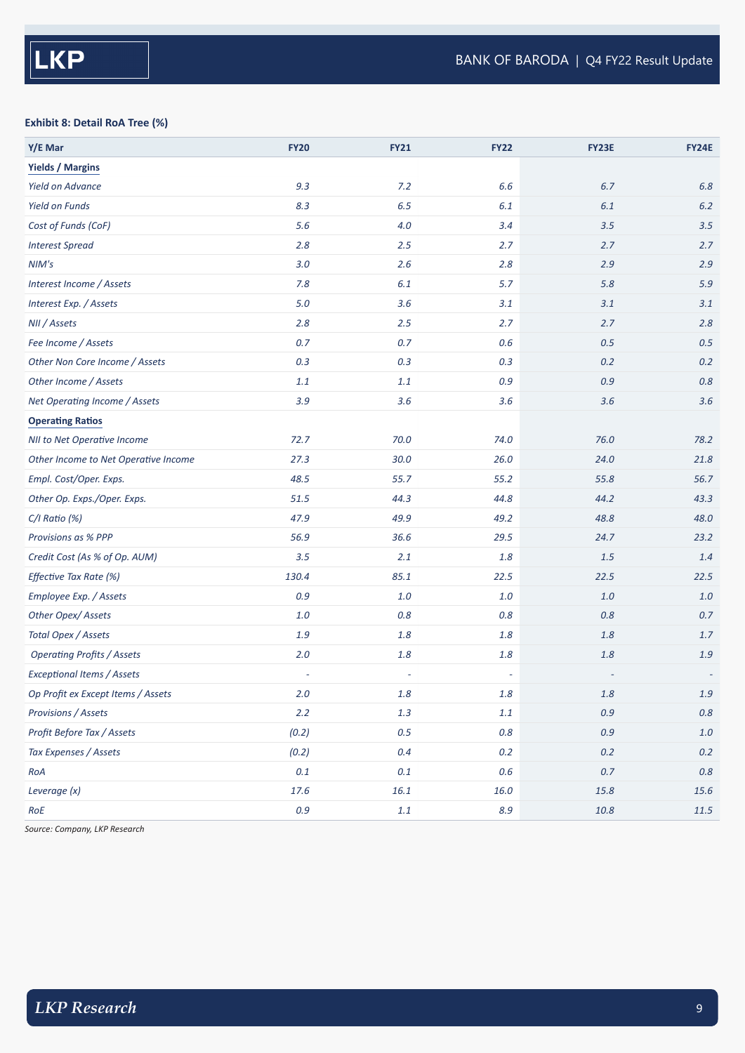#### **Exhibit 8: Detail RoA Tree (%)**

| Y/E Mar                              | <b>FY20</b> | <b>FY21</b>              | <b>FY22</b>              | FY23E   | <b>FY24E</b> |
|--------------------------------------|-------------|--------------------------|--------------------------|---------|--------------|
| <b>Yields / Margins</b>              |             |                          |                          |         |              |
| <b>Yield on Advance</b>              | 9.3         | 7.2                      | 6.6                      | 6.7     | $6.8$        |
| <b>Yield on Funds</b>                | 8.3         | 6.5                      | 6.1                      | 6.1     | 6.2          |
| Cost of Funds (CoF)                  | 5.6         | $4.0$                    | 3.4                      | 3.5     | 3.5          |
| <b>Interest Spread</b>               | 2.8         | 2.5                      | 2.7                      | 2.7     | 2.7          |
| NIM's                                | 3.0         | 2.6                      | 2.8                      | 2.9     | 2.9          |
| Interest Income / Assets             | 7.8         | 6.1                      | 5.7                      | 5.8     | 5.9          |
| Interest Exp. / Assets               | 5.0         | 3.6                      | 3.1                      | 3.1     | 3.1          |
| NII / Assets                         | 2.8         | 2.5                      | 2.7                      | 2.7     | 2.8          |
| Fee Income / Assets                  | 0.7         | 0.7                      | $0.6\,$                  | 0.5     | 0.5          |
| Other Non Core Income / Assets       | $0.3\,$     | $0.3\,$                  | 0.3                      | 0.2     | 0.2          |
| Other Income / Assets                | $1.1\,$     | $1.1\,$                  | $0.9\,$                  | 0.9     | 0.8          |
| Net Operating Income / Assets        | 3.9         | 3.6                      | 3.6                      | 3.6     | 3.6          |
| <b>Operating Ratios</b>              |             |                          |                          |         |              |
| NII to Net Operative Income          | 72.7        | 70.0                     | 74.0                     | 76.0    | 78.2         |
| Other Income to Net Operative Income | 27.3        | 30.0                     | 26.0                     | 24.0    | 21.8         |
| Empl. Cost/Oper. Exps.               | 48.5        | 55.7                     | 55.2                     | 55.8    | 56.7         |
| Other Op. Exps./Oper. Exps.          | 51.5        | 44.3                     | 44.8                     | 44.2    | 43.3         |
| $C/I$ Ratio $(\%)$                   | 47.9        | 49.9                     | 49.2                     | 48.8    | 48.0         |
| Provisions as % PPP                  | 56.9        | 36.6                     | 29.5                     | 24.7    | 23.2         |
| Credit Cost (As % of Op. AUM)        | 3.5         | 2.1                      | 1.8                      | 1.5     | 1.4          |
| Effective Tax Rate (%)               | 130.4       | 85.1                     | 22.5                     | 22.5    | 22.5         |
| Employee Exp. / Assets               | 0.9         | $1.0$                    | 1.0                      | 1.0     | $1.0$        |
| Other Opex/Assets                    | $1.0\,$     | $0.8\,$                  | $0.8\,$                  | $0.8\,$ | 0.7          |
| Total Opex / Assets                  | $1.9\,$     | $1.8\,$                  | $1.8\,$                  | 1.8     | 1.7          |
| <b>Operating Profits / Assets</b>    | $2.0$       | $1.8\,$                  | $1.8\,$                  | 1.8     | $1.9$        |
| <b>Exceptional Items / Assets</b>    | ÷,          | $\overline{\phantom{a}}$ | $\overline{\phantom{a}}$ |         |              |
| Op Profit ex Except Items / Assets   | $2.0\,$     | $1.8\,$                  | $1.8\,$                  | $1.8\,$ | $1.9\,$      |
| Provisions / Assets                  | $2.2$       | $1.3\,$                  | $1.1\,$                  | 0.9     | $0.8\,$      |
| Profit Before Tax / Assets           | (0.2)       | 0.5                      | $0.8\,$                  | 0.9     | $1.0\,$      |
| Tax Expenses / Assets                | (0.2)       | $0.4\,$                  | $0.2\,$                  | 0.2     | $0.2\,$      |
| RoA                                  | $0.1\,$     | $0.1\,$                  | $0.6\,$                  | $0.7\,$ | $0.8\,$      |
| Leverage (x)                         | 17.6        | 16.1                     | 16.0                     | 15.8    | $15.6\,$     |
| RoE                                  | $0.9\,$     | $1.1\,$                  | 8.9                      | 10.8    | $11.5\,$     |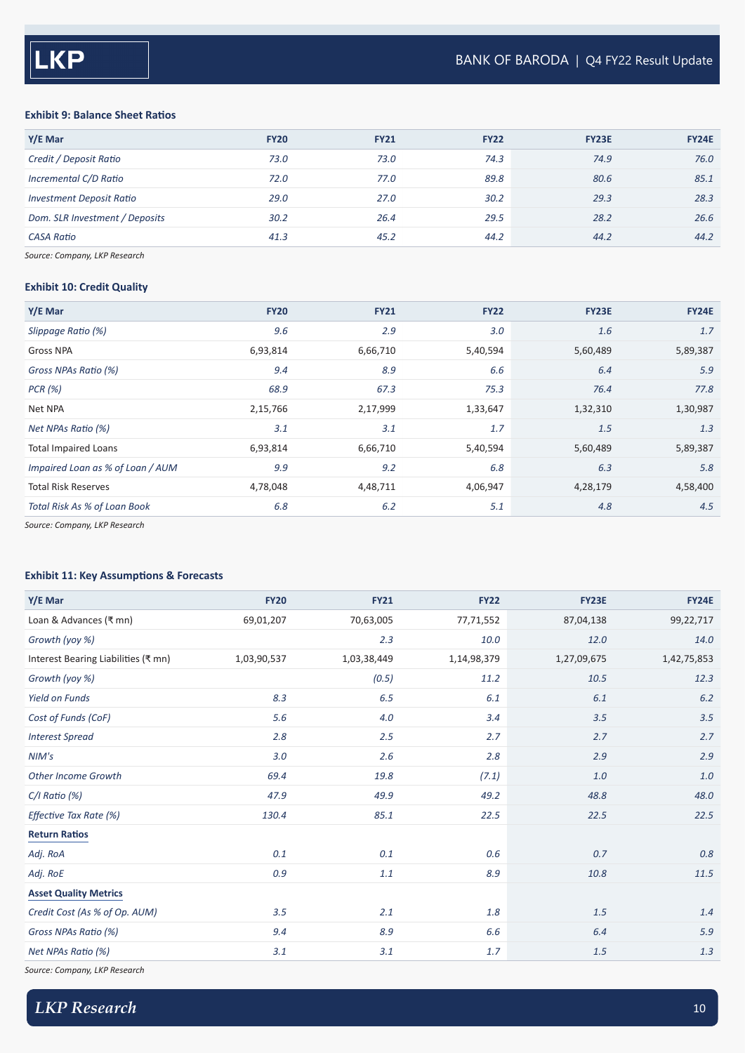#### **Exhibit 9: Balance Sheet Ratios**

| Y/E Mar                         | <b>FY20</b> | <b>FY21</b> | <b>FY22</b> | <b>FY23E</b> | <b>FY24E</b> |
|---------------------------------|-------------|-------------|-------------|--------------|--------------|
| Credit / Deposit Ratio          | 73.0        | 73.0        | 74.3        | 74.9         | 76.0         |
| Incremental C/D Ratio           | 72.0        | 77.0        | 89.8        | 80.6         | 85.1         |
| <b>Investment Deposit Ratio</b> | 29.0        | 27.0        | 30.2        | 29.3         | 28.3         |
| Dom. SLR Investment / Deposits  | 30.2        | 26.4        | 29.5        | 28.2         | 26.6         |
| <b>CASA Ratio</b>               | 41.3        | 45.2        | 44.2        | 44.2         | 44.2         |
|                                 |             |             |             |              |              |

*Source: Company, LKP Research*

#### **Exhibit 10: Credit Quality**

| Y/E Mar                                                                                                                                                                                                                         | <b>FY20</b> | <b>FY21</b> | <b>FY22</b> | <b>FY23E</b> | <b>FY24E</b> |
|---------------------------------------------------------------------------------------------------------------------------------------------------------------------------------------------------------------------------------|-------------|-------------|-------------|--------------|--------------|
| Slippage Ratio (%)                                                                                                                                                                                                              | 9.6         | 2.9         | 3.0         | 1.6          | 1.7          |
| Gross NPA                                                                                                                                                                                                                       | 6,93,814    | 6,66,710    | 5,40,594    | 5,60,489     | 5,89,387     |
| Gross NPAs Ratio (%)                                                                                                                                                                                                            | 9.4         | 8.9         | 6.6         | 6.4          | 5.9          |
| PCR (%)                                                                                                                                                                                                                         | 68.9        | 67.3        | 75.3        | 76.4         | 77.8         |
| Net NPA                                                                                                                                                                                                                         | 2,15,766    | 2,17,999    | 1,33,647    | 1,32,310     | 1,30,987     |
| Net NPAs Ratio (%)                                                                                                                                                                                                              | 3.1         | 3.1         | 1.7         | 1.5          | 1.3          |
| <b>Total Impaired Loans</b>                                                                                                                                                                                                     | 6,93,814    | 6,66,710    | 5,40,594    | 5,60,489     | 5,89,387     |
| Impaired Loan as % of Loan / AUM                                                                                                                                                                                                | 9.9         | 9.2         | 6.8         | 6.3          | 5.8          |
| <b>Total Risk Reserves</b>                                                                                                                                                                                                      | 4,78,048    | 4,48,711    | 4,06,947    | 4,28,179     | 4,58,400     |
| Total Risk As % of Loan Book                                                                                                                                                                                                    | 6.8         | 6.2         | 5.1         | 4.8          | 4.5          |
| $\sim$ . The contract of the contract of the contract of the contract of the contract of the contract of the contract of the contract of the contract of the contract of the contract of the contract of the contract of the co |             |             |             |              |              |

*Source: Company, LKP Research*

#### **Exhibit 11: Key Assumptions & Forecasts**

| Y/E Mar                             | <b>FY20</b> | <b>FY21</b> | <b>FY22</b> | <b>FY23E</b> | <b>FY24E</b> |
|-------------------------------------|-------------|-------------|-------------|--------------|--------------|
| Loan & Advances (₹ mn)              | 69,01,207   | 70,63,005   | 77,71,552   | 87,04,138    | 99,22,717    |
| Growth (yoy %)                      |             | 2.3         | 10.0        | 12.0         | 14.0         |
| Interest Bearing Liabilities (₹ mn) | 1,03,90,537 | 1,03,38,449 | 1,14,98,379 | 1,27,09,675  | 1,42,75,853  |
| Growth (yoy %)                      |             | (0.5)       | 11.2        | 10.5         | 12.3         |
| <b>Yield on Funds</b>               | 8.3         | 6.5         | 6.1         | 6.1          | 6.2          |
| Cost of Funds (CoF)                 | 5.6         | 4.0         | 3.4         | 3.5          | 3.5          |
| <b>Interest Spread</b>              | 2.8         | 2.5         | 2.7         | 2.7          | 2.7          |
| NIM's                               | 3.0         | 2.6         | 2.8         | 2.9          | 2.9          |
| <b>Other Income Growth</b>          | 69.4        | 19.8        | (7.1)       | 1.0          | $1.0$        |
| $C/I$ Ratio $(\%)$                  | 47.9        | 49.9        | 49.2        | 48.8         | 48.0         |
| Effective Tax Rate (%)              | 130.4       | 85.1        | 22.5        | 22.5         | 22.5         |
| <b>Return Ratios</b>                |             |             |             |              |              |
| Adj. RoA                            | 0.1         | 0.1         | 0.6         | 0.7          | 0.8          |
| Adj. RoE                            | 0.9         | $1.1\,$     | 8.9         | 10.8         | 11.5         |
| <b>Asset Quality Metrics</b>        |             |             |             |              |              |
| Credit Cost (As % of Op. AUM)       | 3.5         | 2.1         | 1.8         | 1.5          | 1.4          |
| Gross NPAs Ratio (%)                | 9.4         | 8.9         | 6.6         | 6.4          | 5.9          |
| Net NPAs Ratio (%)                  | 3.1         | 3.1         | 1.7         | 1.5          | 1.3          |
|                                     |             |             |             |              |              |